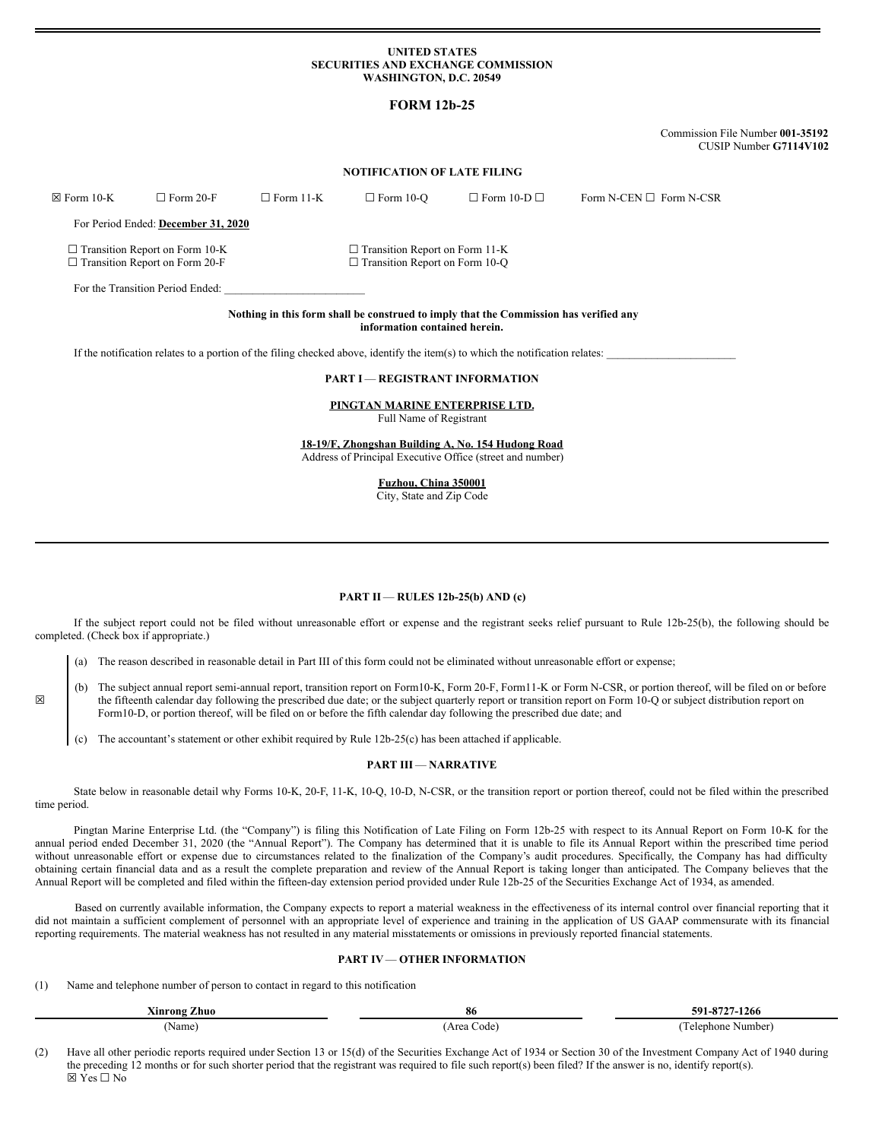### **UNITED STATES SECURITIES AND EXCHANGE COMMISSION WASHINGTON, D.C. 20549**

# **FORM 12b-25**

Commission File Number **001-35192** CUSIP Number **G7114V102**

### **NOTIFICATION OF LATE FILING**

☒ Form 10-K ☐ Form 20-F ☐ Form 11-K ☐ Form 10-Q ☐ Form 10-D ☐ Form N-CEN ☐ Form N-CSR For Period Ended: **December 31, 2020** ☐ Transition Report on Form 10-K ☐ Transition Report on Form 11-K ☐ Transition Report on Form 20-F ☐ Transition Report on Form 10-Q For the Transition Period Ended:

# **Nothing in this form shall be construed to imply that the Commission has verified any information contained herein.**

If the notification relates to a portion of the filing checked above, identify the item(s) to which the notification relates:

# **PART I** — **REGISTRANT INFORMATION**

**PINGTAN MARINE ENTERPRISE LTD.** Full Name of Registrant

**18-19/F, Zhongshan Building A, No. 154 Hudong Road** Address of Principal Executive Office (street and number)

**Fuzhou, China 350001**

City, State and Zip Code

#### **PART II** — **RULES 12b-25(b) AND (c)**

If the subject report could not be filed without unreasonable effort or expense and the registrant seeks relief pursuant to Rule 12b-25(b), the following should be completed. (Check box if appropriate.)

(a) The reason described in reasonable detail in Part III of this form could not be eliminated without unreasonable effort or expense;

- (b) The subject annual report semi-annual report, transition report on Form10-K, Form 20-F, Form11-K or Form N-CSR, or portion thereof, will be filed on or before the fifteenth calendar day following the prescribed due date; or the subject quarterly report or transition report on Form 10-Q or subject distribution report on Form10-D, or portion thereof, will be filed on or before the fifth calendar day following the prescribed due date; and
	- The accountant's statement or other exhibit required by Rule  $12b-25(c)$  has been attached if applicable.

#### **PART III** — **NARRATIVE**

State below in reasonable detail why Forms 10-K, 20-F, 11-K, 10-Q, 10-D, N-CSR, or the transition report or portion thereof, could not be filed within the prescribed time period.

Pingtan Marine Enterprise Ltd. (the "Company") is filing this Notification of Late Filing on Form 12b-25 with respect to its Annual Report on Form 10-K for the annual period ended December 31, 2020 (the "Annual Report"). The Company has determined that it is unable to file its Annual Report within the prescribed time period without unreasonable effort or expense due to circumstances related to the finalization of the Company's audit procedures. Specifically, the Company has had difficulty obtaining certain financial data and as a result the complete preparation and review of the Annual Report is taking longer than anticipated. The Company believes that the Annual Report will be completed and filed within the fifteen-day extension period provided under Rule 12b-25 of the Securities Exchange Act of 1934, as amended.

Based on currently available information, the Company expects to report a material weakness in the effectiveness of its internal control over financial reporting that it did not maintain a sufficient complement of personnel with an appropriate level of experience and training in the application of US GAAP commensurate with its financial reporting requirements. The material weakness has not resulted in any material misstatements or omissions in previously reported financial statements.

# **PART IV**— **OTHER INFORMATION**

(1) Name and telephone number of person to contact in regard to this notification

☒

| Ainrong<br>Zhuo  | 86         | 591.<br>---<br>1266.            |
|------------------|------------|---------------------------------|
| Name<br>$\cdots$ | reg<br>ode | \umber  <br>one<br><b>alanh</b> |

(2) Have all other periodic reports required under Section 13 or 15(d) of the Securities Exchange Act of 1934 or Section 30 of the Investment Company Act of 1940 during the preceding 12 months or for such shorter period that the registrant was required to file such report(s) been filed? If the answer is no, identify report(s).  $\nabla$  Yes  $\nabla$  No